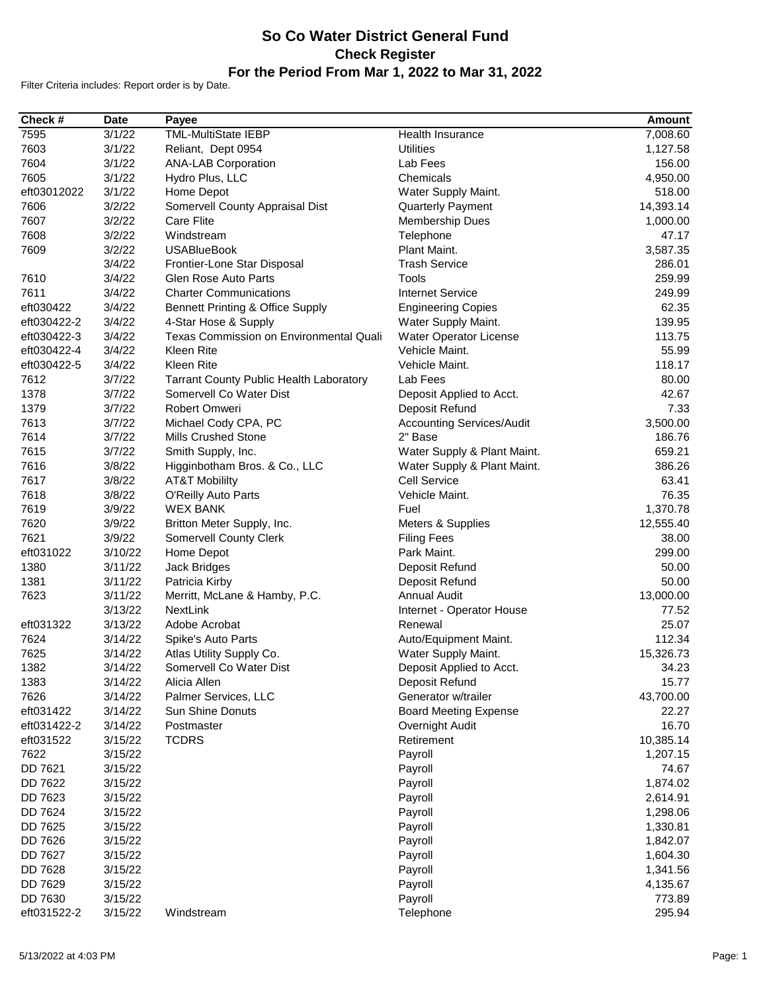## **So Co Water District General Fund Check Register For the Period From Mar 1, 2022 to Mar 31, 2022**

Filter Criteria includes: Report order is by Date.

| Check #     | <b>Date</b> | Pavee                                   |                                  | <b>Amount</b> |
|-------------|-------------|-----------------------------------------|----------------------------------|---------------|
| 7595        | 3/1/22      | <b>TML-MultiState IEBP</b>              | Health Insurance                 | 7,008.60      |
| 7603        | 3/1/22      | Reliant, Dept 0954                      | <b>Utilities</b>                 | 1,127.58      |
| 7604        | 3/1/22      | <b>ANA-LAB Corporation</b>              | Lab Fees                         | 156.00        |
| 7605        | 3/1/22      | Hydro Plus, LLC                         | Chemicals                        | 4,950.00      |
| eft03012022 | 3/1/22      | Home Depot                              | Water Supply Maint.              | 518.00        |
| 7606        | 3/2/22      | Somervell County Appraisal Dist         | Quarterly Payment                | 14,393.14     |
| 7607        | 3/2/22      | <b>Care Flite</b>                       | Membership Dues                  | 1,000.00      |
| 7608        | 3/2/22      | Windstream                              | Telephone                        | 47.17         |
| 7609        | 3/2/22      | <b>USABlueBook</b>                      | Plant Maint.                     | 3,587.35      |
|             | 3/4/22      | Frontier-Lone Star Disposal             | <b>Trash Service</b>             | 286.01        |
| 7610        | 3/4/22      | <b>Glen Rose Auto Parts</b>             | Tools                            | 259.99        |
| 7611        | 3/4/22      | <b>Charter Communications</b>           | <b>Internet Service</b>          | 249.99        |
| eft030422   | 3/4/22      | Bennett Printing & Office Supply        | <b>Engineering Copies</b>        | 62.35         |
| eft030422-2 | 3/4/22      | 4-Star Hose & Supply                    | Water Supply Maint.              | 139.95        |
| eft030422-3 | 3/4/22      | Texas Commission on Environmental Quali | Water Operator License           | 113.75        |
| eft030422-4 | 3/4/22      | Kleen Rite                              | Vehicle Maint.                   | 55.99         |
| eft030422-5 | 3/4/22      | Kleen Rite                              | Vehicle Maint.                   | 118.17        |
| 7612        | 3/7/22      | Tarrant County Public Health Laboratory | Lab Fees                         | 80.00         |
| 1378        | 3/7/22      | Somervell Co Water Dist                 | Deposit Applied to Acct.         | 42.67         |
| 1379        | 3/7/22      | Robert Omweri                           | Deposit Refund                   | 7.33          |
| 7613        | 3/7/22      | Michael Cody CPA, PC                    | <b>Accounting Services/Audit</b> | 3,500.00      |
| 7614        | 3/7/22      | <b>Mills Crushed Stone</b>              | 2" Base                          | 186.76        |
| 7615        | 3/7/22      | Smith Supply, Inc.                      | Water Supply & Plant Maint.      | 659.21        |
| 7616        | 3/8/22      | Higginbotham Bros. & Co., LLC           | Water Supply & Plant Maint.      | 386.26        |
| 7617        | 3/8/22      | <b>AT&amp;T Mobililty</b>               | Cell Service                     | 63.41         |
| 7618        | 3/8/22      | O'Reilly Auto Parts                     | Vehicle Maint.                   | 76.35         |
| 7619        | 3/9/22      | <b>WEX BANK</b>                         | Fuel                             | 1,370.78      |
| 7620        | 3/9/22      | Britton Meter Supply, Inc.              | Meters & Supplies                | 12,555.40     |
| 7621        | 3/9/22      | <b>Somervell County Clerk</b>           | <b>Filing Fees</b>               | 38.00         |
| eft031022   | 3/10/22     | Home Depot                              | Park Maint.                      | 299.00        |
| 1380        | 3/11/22     | Jack Bridges                            | Deposit Refund                   | 50.00         |
| 1381        | 3/11/22     | Patricia Kirby                          | Deposit Refund                   | 50.00         |
| 7623        | 3/11/22     | Merritt, McLane & Hamby, P.C.           | <b>Annual Audit</b>              | 13,000.00     |
|             | 3/13/22     | <b>NextLink</b>                         | Internet - Operator House        | 77.52         |
| eft031322   | 3/13/22     | Adobe Acrobat                           | Renewal                          | 25.07         |
| 7624        | 3/14/22     | Spike's Auto Parts                      | Auto/Equipment Maint.            | 112.34        |
| 7625        | 3/14/22     | Atlas Utility Supply Co.                | Water Supply Maint.              | 15,326.73     |
| 1382        | 3/14/22     | Somervell Co Water Dist                 | Deposit Applied to Acct.         | 34.23         |
| 1383        | 3/14/22     | Alicia Allen                            | Deposit Refund                   | 15.77         |
| 7626        | 3/14/22     | Palmer Services, LLC                    | Generator w/trailer              | 43,700.00     |
| eft031422   | 3/14/22     | <b>Sun Shine Donuts</b>                 | <b>Board Meeting Expense</b>     | 22.27         |
| eft031422-2 | 3/14/22     | Postmaster                              | Overnight Audit                  | 16.70         |
| eft031522   | 3/15/22     | <b>TCDRS</b>                            | Retirement                       | 10,385.14     |
| 7622        | 3/15/22     |                                         | Payroll                          | 1,207.15      |
| DD 7621     | 3/15/22     |                                         | Payroll                          | 74.67         |
| DD 7622     | 3/15/22     |                                         | Payroll                          | 1,874.02      |
| DD 7623     | 3/15/22     |                                         | Payroll                          | 2,614.91      |
| DD 7624     | 3/15/22     |                                         | Payroll                          | 1,298.06      |
| DD 7625     | 3/15/22     |                                         | Payroll                          | 1,330.81      |
| DD 7626     | 3/15/22     |                                         | Payroll                          | 1,842.07      |
| DD 7627     | 3/15/22     |                                         | Payroll                          | 1,604.30      |
| DD 7628     | 3/15/22     |                                         | Payroll                          | 1,341.56      |
| DD 7629     |             |                                         |                                  |               |
|             | 3/15/22     |                                         | Payroll                          | 4,135.67      |
| DD 7630     | 3/15/22     |                                         | Payroll                          | 773.89        |
| eft031522-2 | 3/15/22     | Windstream                              | Telephone                        | 295.94        |